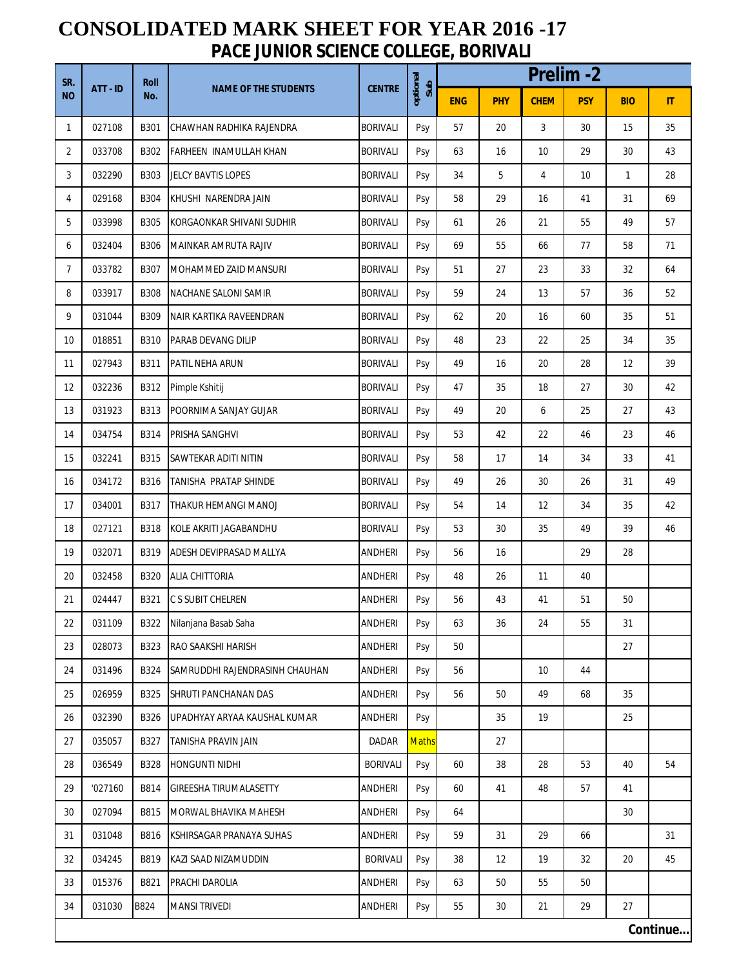## **CONSOLIDATED MARK SHEET FOR YEAR 2016 -17 PACE JUNIOR SCIENCE COLLEGE, BORIVALI**

| SR.<br><b>NO</b> | ATT-ID   | <b>Roll</b><br>No. | <b>NAME OF THE STUDENTS</b>    | <b>CENTRE</b>   | optional<br>Sub | <b>Prelim-2</b> |            |             |            |            |       |  |
|------------------|----------|--------------------|--------------------------------|-----------------|-----------------|-----------------|------------|-------------|------------|------------|-------|--|
|                  |          |                    |                                |                 |                 | <b>ENG</b>      | <b>PHY</b> | <b>CHEM</b> | <b>PSY</b> | <b>BIO</b> | $\Pi$ |  |
| $\mathbf{1}$     | 027108   | B301               | CHAWHAN RADHIKA RAJENDRA       | <b>BORIVALI</b> | Psy             | 57              | 20         | 3           | 30         | 15         | 35    |  |
| 2                | 033708   | B302               | FARHEEN INAMULLAH KHAN         | <b>BORIVALI</b> | Psy             | 63              | 16         | 10          | 29         | 30         | 43    |  |
| 3                | 032290   | B303               | JELCY BAVTIS LOPES             | <b>BORIVALI</b> | Psy             | 34              | 5          | 4           | 10         | 1          | 28    |  |
| 4                | 029168   | B304               | KHUSHI NARENDRA JAIN           | <b>BORIVALI</b> | Psy             | 58              | 29         | 16          | 41         | 31         | 69    |  |
| 5                | 033998   | B305               | KORGAONKAR SHIVANI SUDHIR      | <b>BORIVALI</b> | Psy             | 61              | 26         | 21          | 55         | 49         | 57    |  |
| 6                | 032404   | <b>B306</b>        | MAINKAR AMRUTA RAJIV           | <b>BORIVALI</b> | Psy             | 69              | 55         | 66          | 77         | 58         | 71    |  |
| $\overline{7}$   | 033782   | B307               | MOHAMMED ZAID MANSURI          | <b>BORIVALI</b> | Psy             | 51              | 27         | 23          | 33         | 32         | 64    |  |
| 8                | 033917   | <b>B308</b>        | NACHANE SALONI SAMIR           | <b>BORIVALI</b> | Psy             | 59              | 24         | 13          | 57         | 36         | 52    |  |
| 9                | 031044   | B309               | NAIR KARTIKA RAVEENDRAN        | <b>BORIVALI</b> | Psy             | 62              | 20         | 16          | 60         | 35         | 51    |  |
| 10               | 018851   | B310               | <b>PARAB DEVANG DILIP</b>      | <b>BORIVALI</b> | Psy             | 48              | 23         | 22          | 25         | 34         | 35    |  |
| 11               | 027943   | B311               | <b>PATIL NEHA ARUN</b>         | <b>BORIVALI</b> | Psy             | 49              | 16         | 20          | 28         | 12         | 39    |  |
| 12               | 032236   | B312               | Pimple Kshitij                 | <b>BORIVALI</b> | Psy             | 47              | 35         | 18          | 27         | 30         | 42    |  |
| 13               | 031923   | B313               | POORNIMA SANJAY GUJAR          | <b>BORIVALI</b> | Psy             | 49              | 20         | 6           | 25         | 27         | 43    |  |
| 14               | 034754   | B314               | PRISHA SANGHVI                 | <b>BORIVALI</b> | Psy             | 53              | 42         | 22          | 46         | 23         | 46    |  |
| 15               | 032241   | <b>B315</b>        | SAWTEKAR ADITI NITIN           | <b>BORIVALI</b> | Psy             | 58              | 17         | 14          | 34         | 33         | 41    |  |
| 16               | 034172   | B316               | TANISHA PRATAP SHINDE          | <b>BORIVALI</b> | Psy             | 49              | 26         | 30          | 26         | 31         | 49    |  |
| 17               | 034001   | B317               | THAKUR HEMANGI MANOJ           | <b>BORIVALI</b> | Psy             | 54              | 14         | 12          | 34         | 35         | 42    |  |
| 18               | 027121   | <b>B318</b>        | KOLE AKRITI JAGABANDHU         | <b>BORIVALI</b> | Psy             | 53              | 30         | 35          | 49         | 39         | 46    |  |
| 19               | 032071   | B319               | ADESH DEVIPRASAD MALLYA        | <b>ANDHERI</b>  | Psy             | 56              | 16         |             | 29         | 28         |       |  |
| 20               | 032458   | B320               | <b>ALIA CHITTORIA</b>          | <b>ANDHERI</b>  | Psy             | 48              | 26         | 11          | 40         |            |       |  |
| 21               | 024447   | B321               | <b>C S SUBIT CHELREN</b>       | ANDHERI         | Psy             | 56              | 43         | 41          | 51         | 50         |       |  |
| 22               | 031109   | B322               | Nilanjana Basab Saha           | ANDHERI         | Psy             | 63              | 36         | 24          | 55         | 31         |       |  |
| 23               | 028073   | B323               | RAO SAAKSHI HARISH             | ANDHERI         | Psy             | 50              |            |             |            | 27         |       |  |
| 24               | 031496   | B324               | SAMRUDDHI RAJENDRASINH CHAUHAN | ANDHERI         | Psy             | 56              |            | 10          | 44         |            |       |  |
| 25               | 026959   | B325               | SHRUTI PANCHANAN DAS           | <b>ANDHERI</b>  | Psy             | 56              | 50         | 49          | 68         | 35         |       |  |
| 26               | 032390   | B326               | UPADHYAY ARYAA KAUSHAL KUMAR   | ANDHERI         | Psy             |                 | 35         | 19          |            | 25         |       |  |
| 27               | 035057   | B327               | TANISHA PRAVIN JAIN            | <b>DADAR</b>    | <b>Maths</b>    |                 | 27         |             |            |            |       |  |
| 28               | 036549   | <b>B328</b>        | <b>HONGUNTI NIDHI</b>          | <b>BORIVALI</b> | Psy             | 60              | 38         | 28          | 53         | 40         | 54    |  |
| 29               | '027160  | B814               | <b>GIREESHA TIRUMALASETTY</b>  | ANDHERI         | Psy             | 60              | 41         | 48          | 57         | 41         |       |  |
| 30               | 027094   | B815               | MORWAL BHAVIKA MAHESH          | ANDHERI         | Psy             | 64              |            |             |            | 30         |       |  |
| 31               | 031048   | B816               | KSHIRSAGAR PRANAYA SUHAS       | ANDHERI         | Psy             | 59              | 31         | 29          | 66         |            | 31    |  |
| 32               | 034245   | B819               | KAZI SAAD NIZAMUDDIN           | <b>BORIVALI</b> | Psy             | 38              | 12         | 19          | 32         | 20         | 45    |  |
| 33               | 015376   | B821               | PRACHI DAROLIA                 | ANDHERI         | Psy             | 63              | 50         | 55          | 50         |            |       |  |
| 34               | 031030   | B824               | <b>MANSI TRIVEDI</b>           | ANDHERI         | Psy             | 55              | 30         | 21          | 29         | 27         |       |  |
|                  | Continue |                    |                                |                 |                 |                 |            |             |            |            |       |  |